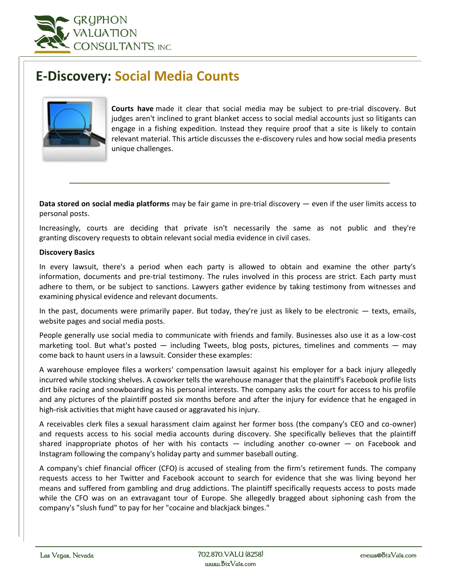

# **E-Discovery: Social Media Counts**



**Courts have** made it clear that social media may be subject to pre-trial discovery. But judges aren't inclined to grant blanket access to social medial accounts just so litigants can engage in a fishing expedition. Instead they require proof that a site is likely to contain relevant material. This article discusses the e-discovery rules and how social media presents unique challenges.

**Data stored on social media platforms** may be fair game in pre-trial discovery — even if the user limits access to personal posts.

Increasingly, courts are deciding that private isn't necessarily the same as not public and they're granting discovery requests to obtain relevant social media evidence in civil cases.

## **Discovery Basics**

In every lawsuit, there's a period when each party is allowed to obtain and examine the other party's information, documents and pre-trial testimony. The rules involved in this process are strict. Each party must adhere to them, or be subject to sanctions. Lawyers gather evidence by taking testimony from witnesses and examining physical evidence and relevant documents.

In the past, documents were primarily paper. But today, they're just as likely to be electronic  $-$  texts, emails, website pages and social media posts.

People generally use social media to communicate with friends and family. Businesses also use it as a low-cost marketing tool. But what's posted — including Tweets, blog posts, pictures, timelines and comments — may come back to haunt users in a lawsuit. Consider these examples:

A warehouse employee files a workers' compensation lawsuit against his employer for a back injury allegedly incurred while stocking shelves. A coworker tells the warehouse manager that the plaintiff's Facebook profile lists dirt bike racing and snowboarding as his personal interests. The company asks the court for access to his profile and any pictures of the plaintiff posted six months before and after the injury for evidence that he engaged in high-risk activities that might have caused or aggravated his injury.

A receivables clerk files a sexual harassment claim against her former boss (the company's CEO and co-owner) and requests access to his social media accounts during discovery. She specifically believes that the plaintiff shared inappropriate photos of her with his contacts  $-$  including another co-owner  $-$  on Facebook and Instagram following the company's holiday party and summer baseball outing.

A company's chief financial officer (CFO) is accused of stealing from the firm's retirement funds. The company requests access to her Twitter and Facebook account to search for evidence that she was living beyond her means and suffered from gambling and drug addictions. The plaintiff specifically requests access to posts made while the CFO was on an extravagant tour of Europe. She allegedly bragged about siphoning cash from the company's "slush fund" to pay for her "cocaine and blackjack binges."